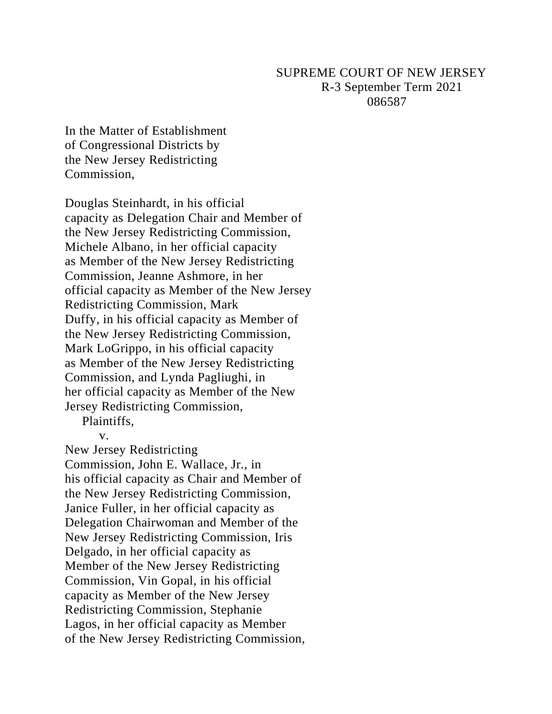# SUPREME COURT OF NEW JERSEY R-3 September Term 2021 086587

In the Matter of Establishment of Congressional Districts by the New Jersey Redistricting Commission,

Douglas Steinhardt, in his official capacity as Delegation Chair and Member of the New Jersey Redistricting Commission, Michele Albano, in her official capacity as Member of the New Jersey Redistricting Commission, Jeanne Ashmore, in her official capacity as Member of the New Jersey Redistricting Commission, Mark Duffy, in his official capacity as Member of the New Jersey Redistricting Commission, Mark LoGrippo, in his official capacity as Member of the New Jersey Redistricting Commission, and Lynda Pagliughi, in her official capacity as Member of the New Jersey Redistricting Commission,

Plaintiffs,

v.

New Jersey Redistricting Commission, John E. Wallace, Jr., in his official capacity as Chair and Member of the New Jersey Redistricting Commission, Janice Fuller, in her official capacity as Delegation Chairwoman and Member of the New Jersey Redistricting Commission, Iris Delgado, in her official capacity as Member of the New Jersey Redistricting Commission, Vin Gopal, in his official capacity as Member of the New Jersey Redistricting Commission, Stephanie Lagos, in her official capacity as Member of the New Jersey Redistricting Commission,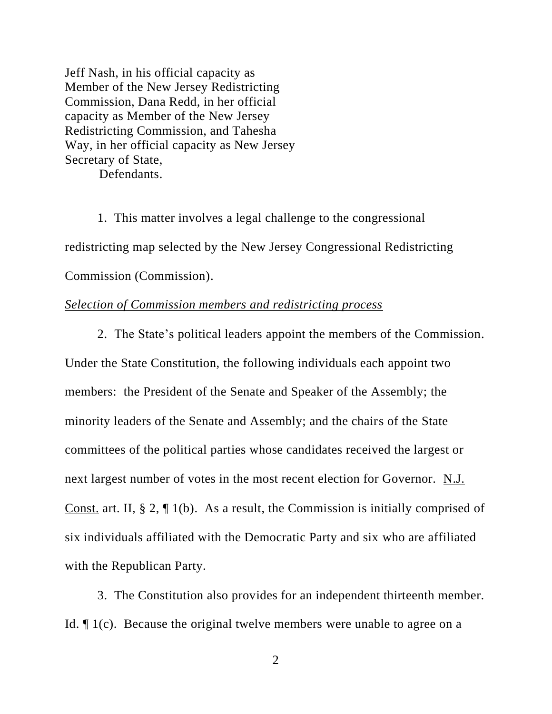Jeff Nash, in his official capacity as Member of the New Jersey Redistricting Commission, Dana Redd, in her official capacity as Member of the New Jersey Redistricting Commission, and Tahesha Way, in her official capacity as New Jersey Secretary of State,

Defendants.

1. This matter involves a legal challenge to the congressional redistricting map selected by the New Jersey Congressional Redistricting Commission (Commission).

## *Selection of Commission members and redistricting process*

2. The State's political leaders appoint the members of the Commission. Under the State Constitution, the following individuals each appoint two members: the President of the Senate and Speaker of the Assembly; the minority leaders of the Senate and Assembly; and the chairs of the State committees of the political parties whose candidates received the largest or next largest number of votes in the most recent election for Governor. N.J. Const. art. II, § 2, ¶ 1(b). As a result, the Commission is initially comprised of six individuals affiliated with the Democratic Party and six who are affiliated with the Republican Party.

3. The Constitution also provides for an independent thirteenth member. Id. ¶ 1(c). Because the original twelve members were unable to agree on a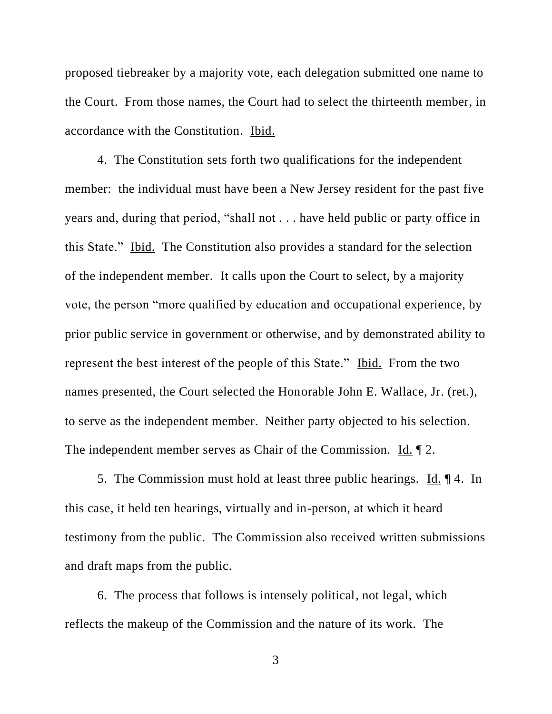proposed tiebreaker by a majority vote, each delegation submitted one name to the Court. From those names, the Court had to select the thirteenth member, in accordance with the Constitution. Ibid.

4. The Constitution sets forth two qualifications for the independent member: the individual must have been a New Jersey resident for the past five years and, during that period, "shall not . . . have held public or party office in this State." Ibid. The Constitution also provides a standard for the selection of the independent member. It calls upon the Court to select, by a majority vote, the person "more qualified by education and occupational experience, by prior public service in government or otherwise, and by demonstrated ability to represent the best interest of the people of this State." Ibid. From the two names presented, the Court selected the Honorable John E. Wallace, Jr. (ret.), to serve as the independent member. Neither party objected to his selection. The independent member serves as Chair of the Commission.  $\underline{Id}$ .  $\P$  2.

5. The Commission must hold at least three public hearings. Id. ¶ 4. In this case, it held ten hearings, virtually and in-person, at which it heard testimony from the public. The Commission also received written submissions and draft maps from the public.

6. The process that follows is intensely political, not legal, which reflects the makeup of the Commission and the nature of its work. The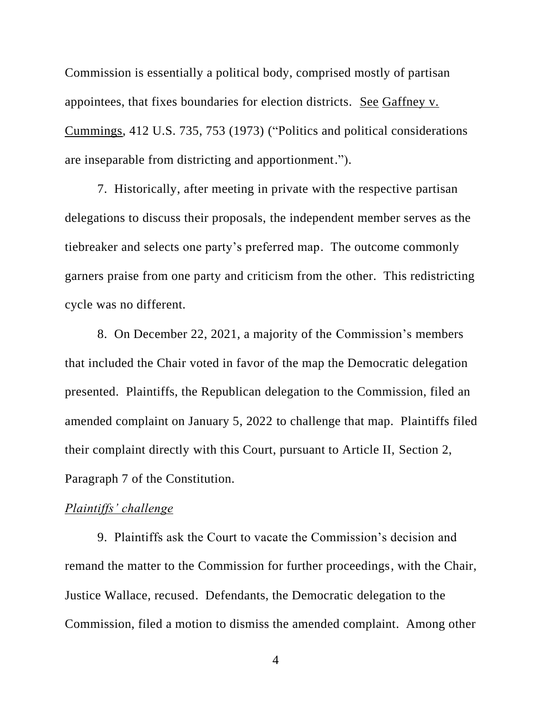Commission is essentially a political body, comprised mostly of partisan appointees, that fixes boundaries for election districts. See Gaffney v. Cummings, 412 U.S. 735, 753 (1973) ("Politics and political considerations are inseparable from districting and apportionment.").

7. Historically, after meeting in private with the respective partisan delegations to discuss their proposals, the independent member serves as the tiebreaker and selects one party's preferred map. The outcome commonly garners praise from one party and criticism from the other. This redistricting cycle was no different.

8. On December 22, 2021, a majority of the Commission's members that included the Chair voted in favor of the map the Democratic delegation presented. Plaintiffs, the Republican delegation to the Commission, filed an amended complaint on January 5, 2022 to challenge that map. Plaintiffs filed their complaint directly with this Court, pursuant to Article II, Section 2, Paragraph 7 of the Constitution.

#### *Plaintiffs' challenge*

9. Plaintiffs ask the Court to vacate the Commission's decision and remand the matter to the Commission for further proceedings, with the Chair, Justice Wallace, recused. Defendants, the Democratic delegation to the Commission, filed a motion to dismiss the amended complaint. Among other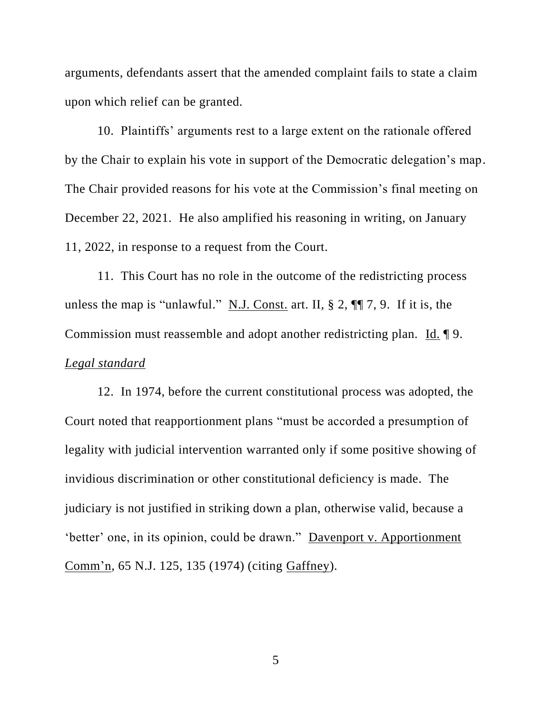arguments, defendants assert that the amended complaint fails to state a claim upon which relief can be granted.

10. Plaintiffs' arguments rest to a large extent on the rationale offered by the Chair to explain his vote in support of the Democratic delegation's map. The Chair provided reasons for his vote at the Commission's final meeting on December 22, 2021. He also amplified his reasoning in writing, on January 11, 2022, in response to a request from the Court.

11. This Court has no role in the outcome of the redistricting process unless the map is "unlawful." N.J. Const. art. II,  $\S 2$ ,  $\P 7$ , 9. If it is, the Commission must reassemble and adopt another redistricting plan. Id. ¶ 9. *Legal standard*

12. In 1974, before the current constitutional process was adopted, the Court noted that reapportionment plans "must be accorded a presumption of legality with judicial intervention warranted only if some positive showing of invidious discrimination or other constitutional deficiency is made. The judiciary is not justified in striking down a plan, otherwise valid, because a 'better' one, in its opinion, could be drawn." Davenport v. Apportionment Comm'n, 65 N.J. 125, 135 (1974) (citing Gaffney).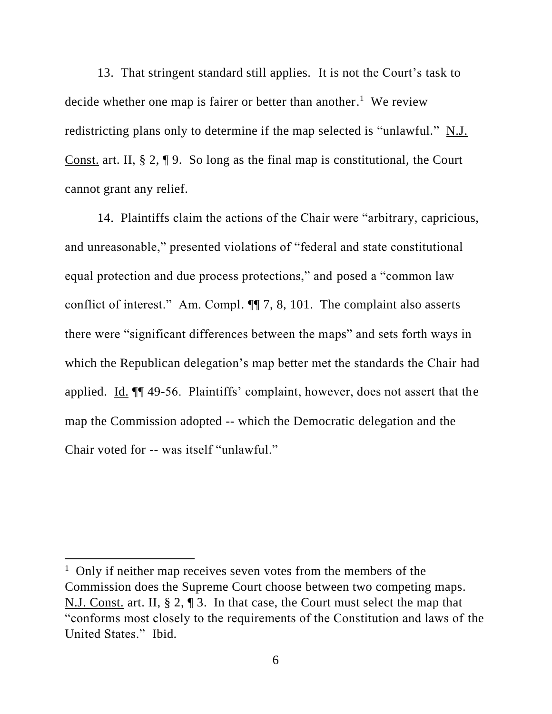13. That stringent standard still applies. It is not the Court's task to decide whether one map is fairer or better than another.<sup>1</sup> We review redistricting plans only to determine if the map selected is "unlawful." N.J. Const. art. II, § 2, ¶ 9. So long as the final map is constitutional, the Court cannot grant any relief.

14. Plaintiffs claim the actions of the Chair were "arbitrary, capricious, and unreasonable," presented violations of "federal and state constitutional equal protection and due process protections," and posed a "common law conflict of interest." Am. Compl. ¶¶ 7, 8, 101. The complaint also asserts there were "significant differences between the maps" and sets forth ways in which the Republican delegation's map better met the standards the Chair had applied. Id. ¶¶ 49-56. Plaintiffs' complaint, however, does not assert that the map the Commission adopted -- which the Democratic delegation and the Chair voted for -- was itself "unlawful."

<sup>&</sup>lt;sup>1</sup> Only if neither map receives seven votes from the members of the Commission does the Supreme Court choose between two competing maps. N.J. Const. art. II, § 2, ¶ 3. In that case, the Court must select the map that "conforms most closely to the requirements of the Constitution and laws of the United States." Ibid.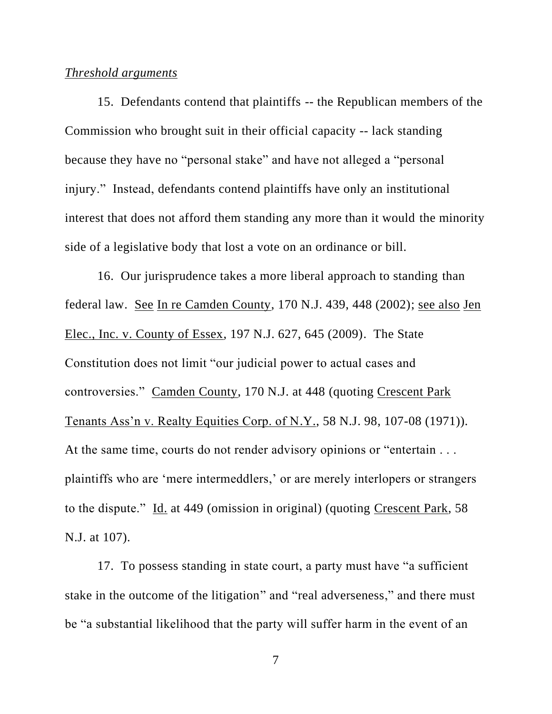### *Threshold arguments*

15. Defendants contend that plaintiffs -- the Republican members of the Commission who brought suit in their official capacity -- lack standing because they have no "personal stake" and have not alleged a "personal injury." Instead, defendants contend plaintiffs have only an institutional interest that does not afford them standing any more than it would the minority side of a legislative body that lost a vote on an ordinance or bill.

16. Our jurisprudence takes a more liberal approach to standing than federal law. See In re Camden County, 170 N.J. 439, 448 (2002); see also Jen Elec., Inc. v. County of Essex, 197 N.J. 627, 645 (2009). The State Constitution does not limit "our judicial power to actual cases and controversies." Camden County, 170 N.J. at 448 (quoting Crescent Park Tenants Ass'n v. Realty Equities Corp. of N.Y., 58 N.J. 98, 107-08 (1971)). At the same time, courts do not render advisory opinions or "entertain . . . plaintiffs who are 'mere intermeddlers,' or are merely interlopers or strangers to the dispute." Id. at 449 (omission in original) (quoting Crescent Park, 58 N.J. at 107).

17. To possess standing in state court, a party must have "a sufficient stake in the outcome of the litigation" and "real adverseness," and there must be "a substantial likelihood that the party will suffer harm in the event of an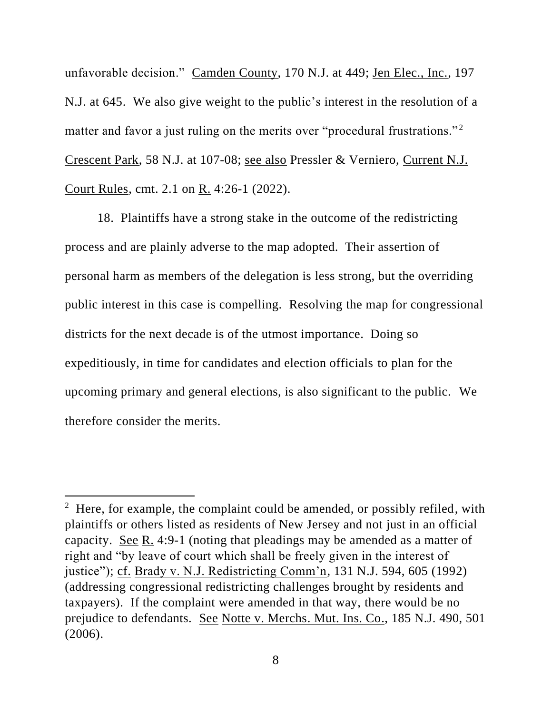unfavorable decision." Camden County, 170 N.J. at 449; Jen Elec., Inc., 197 N.J. at 645. We also give weight to the public's interest in the resolution of a matter and favor a just ruling on the merits over "procedural frustrations."<sup>2</sup> Crescent Park, 58 N.J. at 107-08; see also Pressler & Verniero, Current N.J. Court Rules, cmt. 2.1 on R. 4:26-1 (2022).

18. Plaintiffs have a strong stake in the outcome of the redistricting process and are plainly adverse to the map adopted. Their assertion of personal harm as members of the delegation is less strong, but the overriding public interest in this case is compelling. Resolving the map for congressional districts for the next decade is of the utmost importance. Doing so expeditiously, in time for candidates and election officials to plan for the upcoming primary and general elections, is also significant to the public. We therefore consider the merits.

<sup>&</sup>lt;sup>2</sup> Here, for example, the complaint could be amended, or possibly refiled, with plaintiffs or others listed as residents of New Jersey and not just in an official capacity. See R. 4:9-1 (noting that pleadings may be amended as a matter of right and "by leave of court which shall be freely given in the interest of justice"); cf. Brady v. N.J. Redistricting Comm'n, 131 N.J. 594, 605 (1992) (addressing congressional redistricting challenges brought by residents and taxpayers). If the complaint were amended in that way, there would be no prejudice to defendants. See Notte v. Merchs. Mut. Ins. Co., 185 N.J. 490, 501 (2006).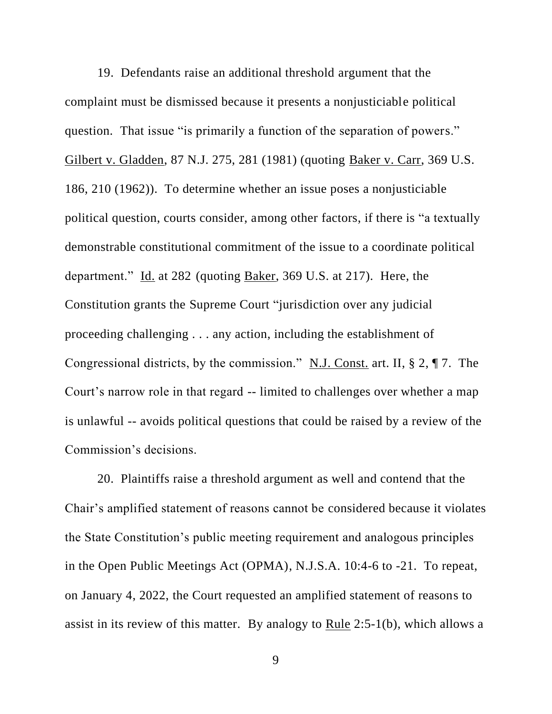19. Defendants raise an additional threshold argument that the complaint must be dismissed because it presents a nonjusticiable political question. That issue "is primarily a function of the separation of powers." Gilbert v. Gladden, 87 N.J. 275, 281 (1981) (quoting Baker v. Carr, 369 U.S. 186, 210 (1962)). To determine whether an issue poses a nonjusticiable political question, courts consider, among other factors, if there is "a textually demonstrable constitutional commitment of the issue to a coordinate political department." Id. at 282 (quoting Baker, 369 U.S. at 217). Here, the Constitution grants the Supreme Court "jurisdiction over any judicial proceeding challenging . . . any action, including the establishment of Congressional districts, by the commission." N.J. Const. art. II, § 2, ¶ 7. The Court's narrow role in that regard -- limited to challenges over whether a map is unlawful -- avoids political questions that could be raised by a review of the Commission's decisions.

20. Plaintiffs raise a threshold argument as well and contend that the Chair's amplified statement of reasons cannot be considered because it violates the State Constitution's public meeting requirement and analogous principles in the Open Public Meetings Act (OPMA), N.J.S.A. 10:4-6 to -21. To repeat, on January 4, 2022, the Court requested an amplified statement of reasons to assist in its review of this matter. By analogy to Rule 2:5-1(b), which allows a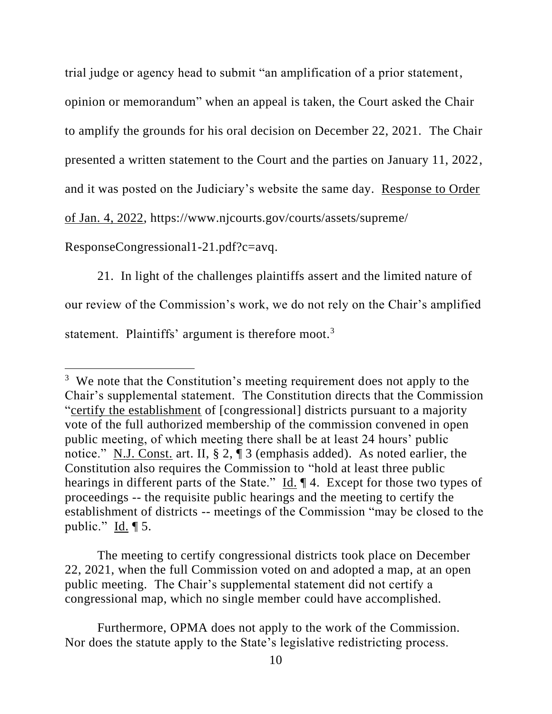trial judge or agency head to submit "an amplification of a prior statement,

opinion or memorandum" when an appeal is taken, the Court asked the Chair

to amplify the grounds for his oral decision on December 22, 2021. The Chair

presented a written statement to the Court and the parties on January 11, 2022,

and it was posted on the Judiciary's website the same day. Response to Order

of Jan. 4, 2022, https://www.njcourts.gov/courts/assets/supreme/

ResponseCongressional1-21.pdf?c=avq.

21. In light of the challenges plaintiffs assert and the limited nature of our review of the Commission's work, we do not rely on the Chair's amplified statement. Plaintiffs' argument is therefore moot.<sup>3</sup>

The meeting to certify congressional districts took place on December 22, 2021, when the full Commission voted on and adopted a map, at an open public meeting. The Chair's supplemental statement did not certify a congressional map, which no single member could have accomplished.

Furthermore, OPMA does not apply to the work of the Commission. Nor does the statute apply to the State's legislative redistricting process.

<sup>&</sup>lt;sup>3</sup> We note that the Constitution's meeting requirement does not apply to the Chair's supplemental statement. The Constitution directs that the Commission "certify the establishment of [congressional] districts pursuant to a majority vote of the full authorized membership of the commission convened in open public meeting, of which meeting there shall be at least 24 hours' public notice." N.J. Const. art. II, § 2, ¶ 3 (emphasis added). As noted earlier, the Constitution also requires the Commission to "hold at least three public hearings in different parts of the State." Id. ¶ 4. Except for those two types of proceedings -- the requisite public hearings and the meeting to certify the establishment of districts -- meetings of the Commission "may be closed to the public." Id. ¶ 5.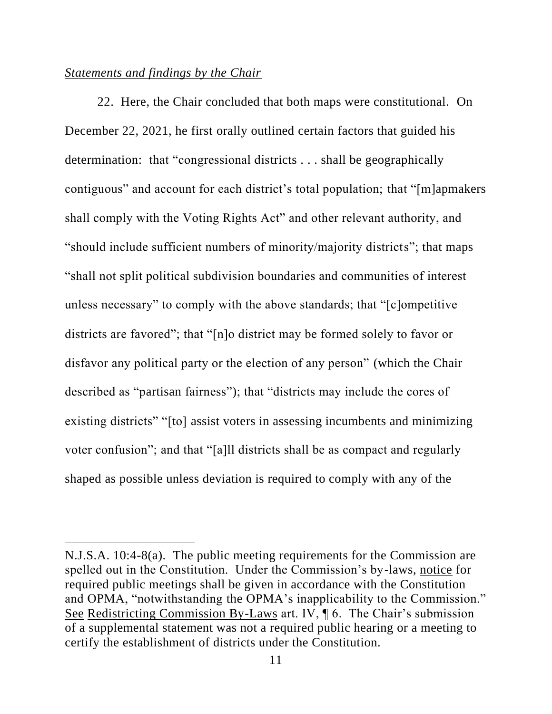## *Statements and findings by the Chair*

22. Here, the Chair concluded that both maps were constitutional. On December 22, 2021, he first orally outlined certain factors that guided his determination: that "congressional districts . . . shall be geographically contiguous" and account for each district's total population; that "[m]apmakers shall comply with the Voting Rights Act" and other relevant authority, and "should include sufficient numbers of minority/majority districts"; that maps "shall not split political subdivision boundaries and communities of interest unless necessary" to comply with the above standards; that "[c]ompetitive districts are favored"; that "[n]o district may be formed solely to favor or disfavor any political party or the election of any person" (which the Chair described as "partisan fairness"); that "districts may include the cores of existing districts" "[to] assist voters in assessing incumbents and minimizing voter confusion"; and that "[a]ll districts shall be as compact and regularly shaped as possible unless deviation is required to comply with any of the

N.J.S.A. 10:4-8(a).The public meeting requirements for the Commission are spelled out in the Constitution. Under the Commission's by-laws, notice for required public meetings shall be given in accordance with the Constitution and OPMA, "notwithstanding the OPMA's inapplicability to the Commission." See Redistricting Commission By-Laws art. IV, ¶ 6. The Chair's submission of a supplemental statement was not a required public hearing or a meeting to certify the establishment of districts under the Constitution.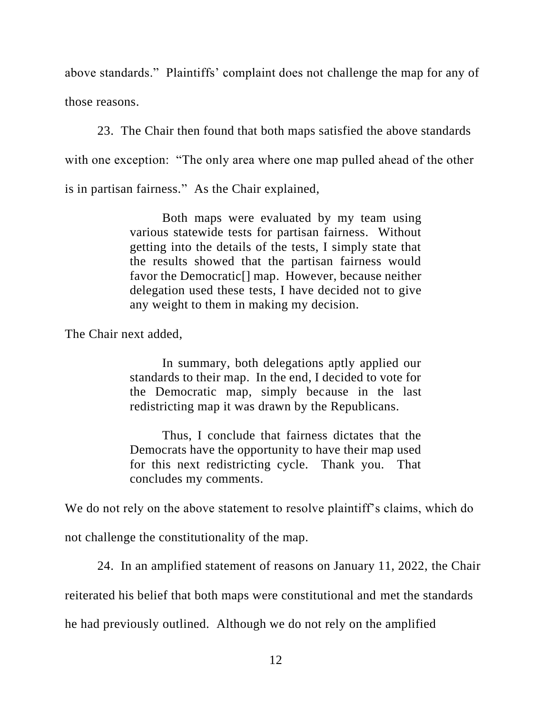above standards." Plaintiffs' complaint does not challenge the map for any of those reasons.

23. The Chair then found that both maps satisfied the above standards with one exception: "The only area where one map pulled ahead of the other is in partisan fairness." As the Chair explained,

> Both maps were evaluated by my team using various statewide tests for partisan fairness. Without getting into the details of the tests, I simply state that the results showed that the partisan fairness would favor the Democratic[] map. However, because neither delegation used these tests, I have decided not to give any weight to them in making my decision.

The Chair next added,

In summary, both delegations aptly applied our standards to their map. In the end, I decided to vote for the Democratic map, simply because in the last redistricting map it was drawn by the Republicans.

Thus, I conclude that fairness dictates that the Democrats have the opportunity to have their map used for this next redistricting cycle. Thank you. That concludes my comments.

We do not rely on the above statement to resolve plaintiff's claims, which do not challenge the constitutionality of the map.

24. In an amplified statement of reasons on January 11, 2022, the Chair

reiterated his belief that both maps were constitutional and met the standards

he had previously outlined. Although we do not rely on the amplified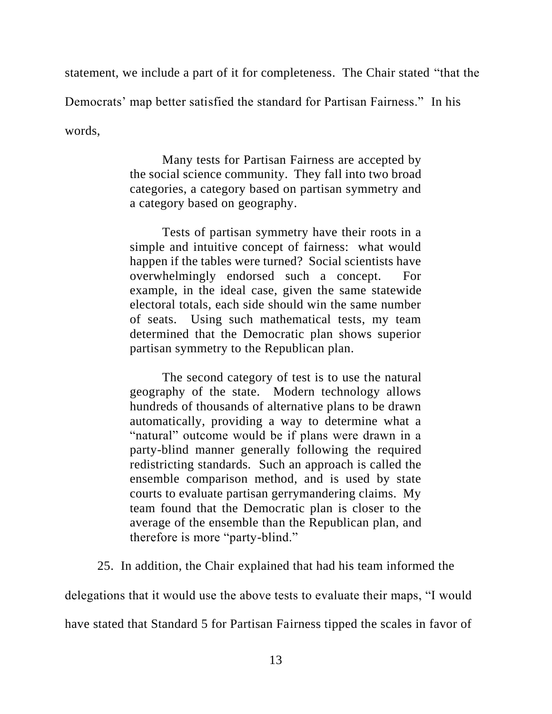statement, we include a part of it for completeness. The Chair stated "that the Democrats' map better satisfied the standard for Partisan Fairness." In his

words,

Many tests for Partisan Fairness are accepted by the social science community. They fall into two broad categories, a category based on partisan symmetry and a category based on geography.

Tests of partisan symmetry have their roots in a simple and intuitive concept of fairness: what would happen if the tables were turned? Social scientists have overwhelmingly endorsed such a concept. For example, in the ideal case, given the same statewide electoral totals, each side should win the same number of seats. Using such mathematical tests, my team determined that the Democratic plan shows superior partisan symmetry to the Republican plan.

The second category of test is to use the natural geography of the state. Modern technology allows hundreds of thousands of alternative plans to be drawn automatically, providing a way to determine what a "natural" outcome would be if plans were drawn in a party-blind manner generally following the required redistricting standards. Such an approach is called the ensemble comparison method, and is used by state courts to evaluate partisan gerrymandering claims. My team found that the Democratic plan is closer to the average of the ensemble than the Republican plan, and therefore is more "party-blind."

25. In addition, the Chair explained that had his team informed the

delegations that it would use the above tests to evaluate their maps, "I would

have stated that Standard 5 for Partisan Fairness tipped the scales in favor of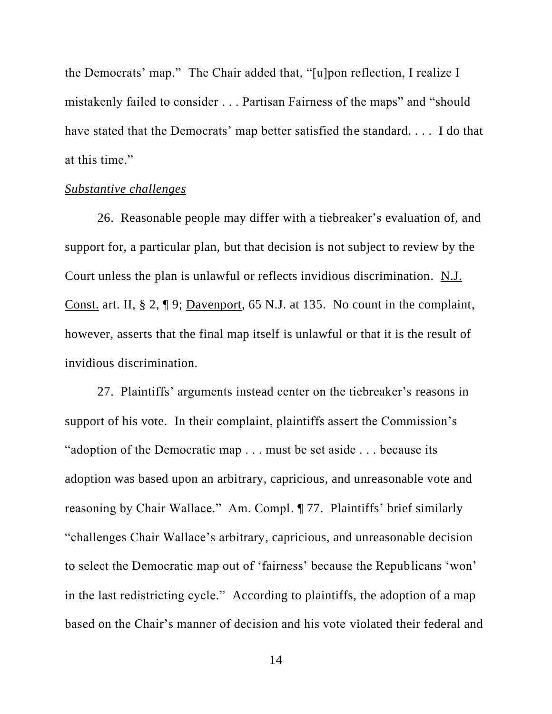the Democrats' map." The Chair added that, "[u]pon reflection, I realize I mistakenly failed to consider . . . Partisan Fairness of the maps" and "should have stated that the Democrats' map better satisfied the standard. . . . I do that at this time."

## *Substantive challenges*

26. Reasonable people may differ with a tiebreaker's evaluation of, and support for, a particular plan, but that decision is not subject to review by the Court unless the plan is unlawful or reflects invidious discrimination. N.J. Const. art. II, § 2, ¶ 9; Davenport, 65 N.J. at 135. No count in the complaint, however, asserts that the final map itself is unlawful or that it is the result of invidious discrimination.

27. Plaintiffs' arguments instead center on the tiebreaker's reasons in support of his vote. In their complaint, plaintiffs assert the Commission's "adoption of the Democratic map . . . must be set aside . . . because its adoption was based upon an arbitrary, capricious, and unreasonable vote and reasoning by Chair Wallace." Am. Compl. ¶ 77. Plaintiffs' brief similarly "challenges Chair Wallace's arbitrary, capricious, and unreasonable decision to select the Democratic map out of 'fairness' because the Republicans 'won' in the last redistricting cycle." According to plaintiffs, the adoption of a map based on the Chair's manner of decision and his vote violated their federal and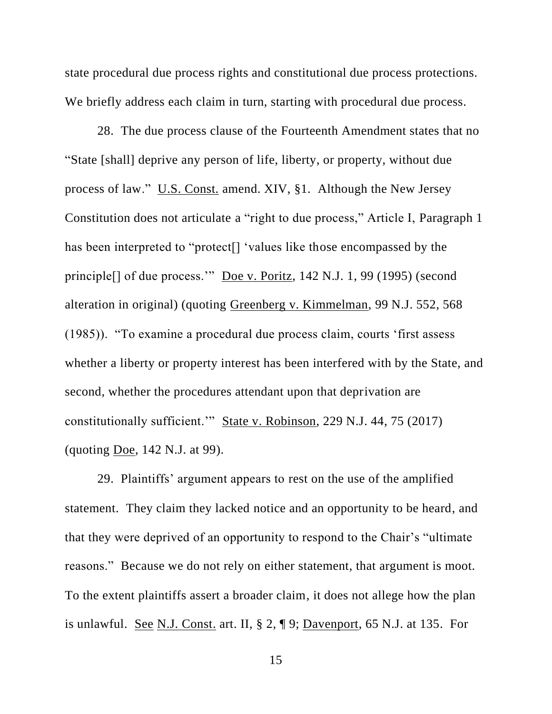state procedural due process rights and constitutional due process protections. We briefly address each claim in turn, starting with procedural due process.

28. The due process clause of the Fourteenth Amendment states that no "State [shall] deprive any person of life, liberty, or property, without due process of law." U.S. Const. amend. XIV, §1. Although the New Jersey Constitution does not articulate a "right to due process," Article I, Paragraph 1 has been interpreted to "protect[] 'values like those encompassed by the principle[] of due process.'" Doe v. Poritz, 142 N.J. 1, 99 (1995) (second alteration in original) (quoting Greenberg v. Kimmelman, 99 N.J. 552, 568 (1985)). "To examine a procedural due process claim, courts 'first assess whether a liberty or property interest has been interfered with by the State, and second, whether the procedures attendant upon that deprivation are constitutionally sufficient.'" State v. Robinson, 229 N.J. 44, 75 (2017) (quoting Doe, 142 N.J. at 99).

29. Plaintiffs' argument appears to rest on the use of the amplified statement. They claim they lacked notice and an opportunity to be heard, and that they were deprived of an opportunity to respond to the Chair's "ultimate reasons." Because we do not rely on either statement, that argument is moot. To the extent plaintiffs assert a broader claim, it does not allege how the plan is unlawful. See N.J. Const. art. II, § 2, ¶ 9; Davenport, 65 N.J. at 135. For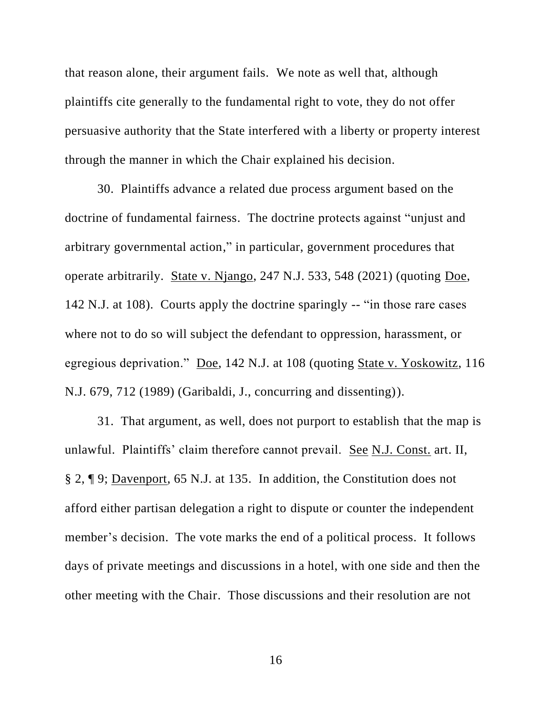that reason alone, their argument fails. We note as well that, although plaintiffs cite generally to the fundamental right to vote, they do not offer persuasive authority that the State interfered with a liberty or property interest through the manner in which the Chair explained his decision.

30. Plaintiffs advance a related due process argument based on the doctrine of fundamental fairness. The doctrine protects against "unjust and arbitrary governmental action," in particular, government procedures that operate arbitrarily. State v. Njango, 247 N.J. 533, 548 (2021) (quoting Doe, 142 N.J. at 108). Courts apply the doctrine sparingly -- "in those rare cases where not to do so will subject the defendant to oppression, harassment, or egregious deprivation." Doe, 142 N.J. at 108 (quoting State v. Yoskowitz, 116 N.J. 679, 712 (1989) (Garibaldi, J., concurring and dissenting)).

31. That argument, as well, does not purport to establish that the map is unlawful. Plaintiffs' claim therefore cannot prevail. <u>See N.J. Const.</u> art. II, § 2, ¶ 9; Davenport, 65 N.J. at 135. In addition, the Constitution does not afford either partisan delegation a right to dispute or counter the independent member's decision. The vote marks the end of a political process. It follows days of private meetings and discussions in a hotel, with one side and then the other meeting with the Chair. Those discussions and their resolution are not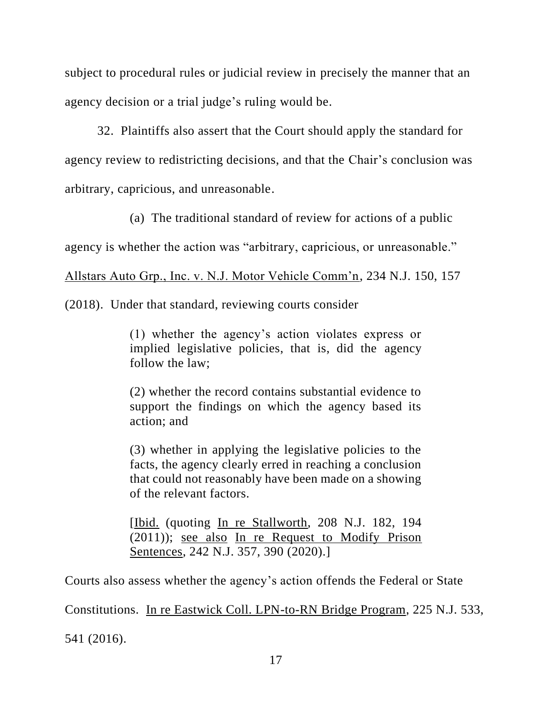subject to procedural rules or judicial review in precisely the manner that an agency decision or a trial judge's ruling would be.

32. Plaintiffs also assert that the Court should apply the standard for agency review to redistricting decisions, and that the Chair's conclusion was arbitrary, capricious, and unreasonable.

(a) The traditional standard of review for actions of a public

agency is whether the action was "arbitrary, capricious, or unreasonable."

Allstars Auto Grp., Inc. v. N.J. Motor Vehicle Comm'n, 234 N.J. 150, 157

(2018). Under that standard, reviewing courts consider

(1) whether the agency's action violates express or implied legislative policies, that is, did the agency follow the law;

(2) whether the record contains substantial evidence to support the findings on which the agency based its action; and

(3) whether in applying the legislative policies to the facts, the agency clearly erred in reaching a conclusion that could not reasonably have been made on a showing of the relevant factors.

[Ibid. (quoting In re Stallworth, 208 N.J. 182, 194 (2011)); see also In re Request to Modify Prison Sentences, 242 N.J. 357, 390 (2020).]

Courts also assess whether the agency's action offends the Federal or State

Constitutions. In re Eastwick Coll. LPN-to-RN Bridge Program, 225 N.J. 533,

541 (2016).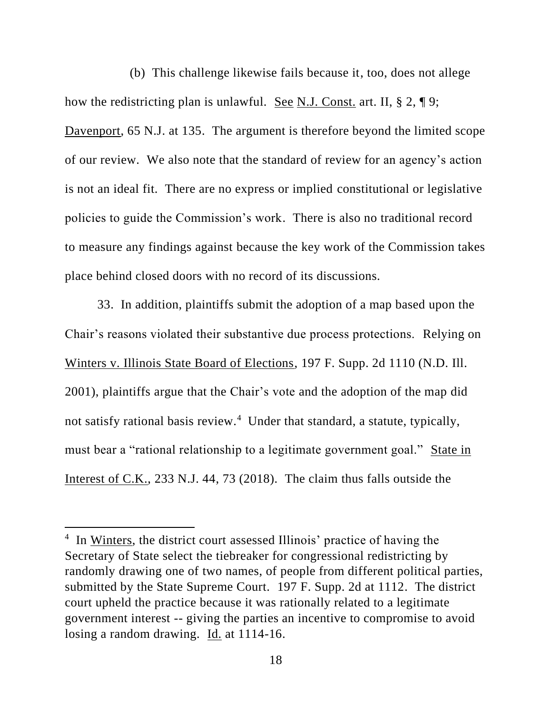(b) This challenge likewise fails because it, too, does not allege how the redistricting plan is unlawful. See N.J. Const. art. II, § 2, ¶ 9; Davenport, 65 N.J. at 135. The argument is therefore beyond the limited scope of our review. We also note that the standard of review for an agency's action is not an ideal fit. There are no express or implied constitutional or legislative policies to guide the Commission's work. There is also no traditional record to measure any findings against because the key work of the Commission takes place behind closed doors with no record of its discussions.

33. In addition, plaintiffs submit the adoption of a map based upon the Chair's reasons violated their substantive due process protections. Relying on Winters v. Illinois State Board of Elections, 197 F. Supp. 2d 1110 (N.D. Ill. 2001), plaintiffs argue that the Chair's vote and the adoption of the map did not satisfy rational basis review.<sup>4</sup> Under that standard, a statute, typically, must bear a "rational relationship to a legitimate government goal." State in Interest of C.K., 233 N.J. 44, 73 (2018). The claim thus falls outside the

<sup>&</sup>lt;sup>4</sup> In Winters, the district court assessed Illinois' practice of having the Secretary of State select the tiebreaker for congressional redistricting by randomly drawing one of two names, of people from different political parties, submitted by the State Supreme Court. 197 F. Supp. 2d at 1112. The district court upheld the practice because it was rationally related to a legitimate government interest -- giving the parties an incentive to compromise to avoid losing a random drawing. Id. at 1114-16.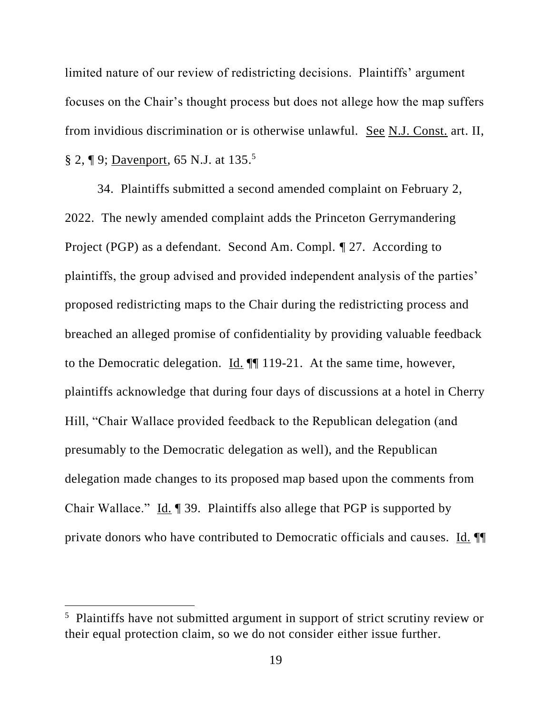limited nature of our review of redistricting decisions. Plaintiffs' argument focuses on the Chair's thought process but does not allege how the map suffers from invidious discrimination or is otherwise unlawful. See N.J. Const. art. II, § 2, ¶ 9; <u>Davenport</u>, 65 N.J. at 135.<sup>5</sup>

34. Plaintiffs submitted a second amended complaint on February 2, 2022. The newly amended complaint adds the Princeton Gerrymandering Project (PGP) as a defendant. Second Am. Compl. ¶ 27. According to plaintiffs, the group advised and provided independent analysis of the parties' proposed redistricting maps to the Chair during the redistricting process and breached an alleged promise of confidentiality by providing valuable feedback to the Democratic delegation. Id. ¶¶ 119-21. At the same time, however, plaintiffs acknowledge that during four days of discussions at a hotel in Cherry Hill, "Chair Wallace provided feedback to the Republican delegation (and presumably to the Democratic delegation as well), and the Republican delegation made changes to its proposed map based upon the comments from Chair Wallace." Id. 199. Plaintiffs also allege that PGP is supported by private donors who have contributed to Democratic officials and causes. Id. ¶¶

<sup>&</sup>lt;sup>5</sup> Plaintiffs have not submitted argument in support of strict scrutiny review or their equal protection claim, so we do not consider either issue further.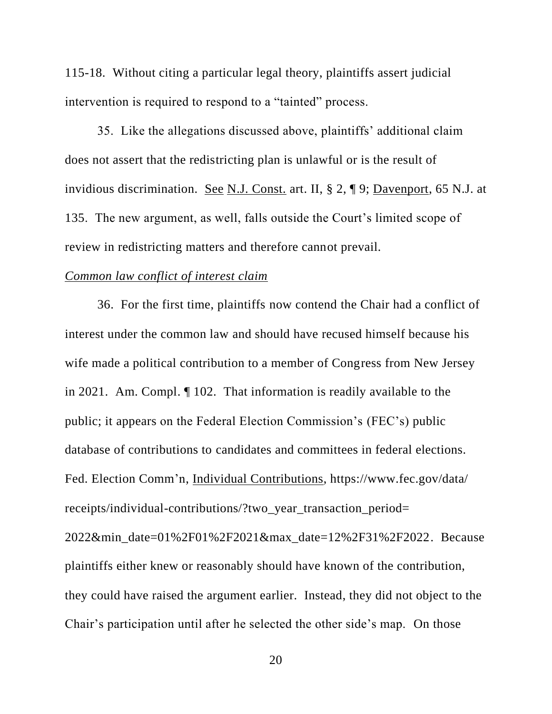115-18. Without citing a particular legal theory, plaintiffs assert judicial intervention is required to respond to a "tainted" process.

35. Like the allegations discussed above, plaintiffs' additional claim does not assert that the redistricting plan is unlawful or is the result of invidious discrimination. See N.J. Const. art. II, § 2, ¶ 9; Davenport, 65 N.J. at 135. The new argument, as well, falls outside the Court's limited scope of review in redistricting matters and therefore cannot prevail.

# *Common law conflict of interest claim*

36. For the first time, plaintiffs now contend the Chair had a conflict of interest under the common law and should have recused himself because his wife made a political contribution to a member of Congress from New Jersey in 2021. Am. Compl. ¶ 102. That information is readily available to the public; it appears on the Federal Election Commission's (FEC's) public database of contributions to candidates and committees in federal elections. Fed. Election Comm'n, Individual Contributions, https://www.fec.gov/data/ receipts/individual-contributions/?two\_year\_transaction\_period= 2022&min\_date=01%2F01%2F2021&max\_date=12%2F31%2F2022. Because plaintiffs either knew or reasonably should have known of the contribution, they could have raised the argument earlier. Instead, they did not object to the Chair's participation until after he selected the other side's map. On those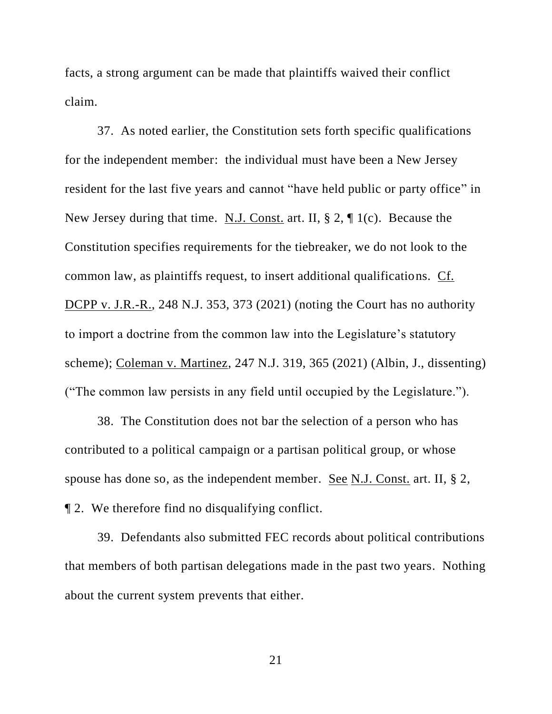facts, a strong argument can be made that plaintiffs waived their conflict claim.

37. As noted earlier, the Constitution sets forth specific qualifications for the independent member: the individual must have been a New Jersey resident for the last five years and cannot "have held public or party office" in New Jersey during that time. N.J. Const. art. II, § 2, ¶ 1(c). Because the Constitution specifies requirements for the tiebreaker, we do not look to the common law, as plaintiffs request, to insert additional qualifications. Cf. DCPP v. J.R.-R., 248 N.J. 353, 373 (2021) (noting the Court has no authority to import a doctrine from the common law into the Legislature's statutory scheme); Coleman v. Martinez, 247 N.J. 319, 365 (2021) (Albin, J., dissenting) ("The common law persists in any field until occupied by the Legislature.").

38. The Constitution does not bar the selection of a person who has contributed to a political campaign or a partisan political group, or whose spouse has done so, as the independent member. See N.J. Const. art. II, § 2, ¶ 2. We therefore find no disqualifying conflict.

39. Defendants also submitted FEC records about political contributions that members of both partisan delegations made in the past two years. Nothing about the current system prevents that either.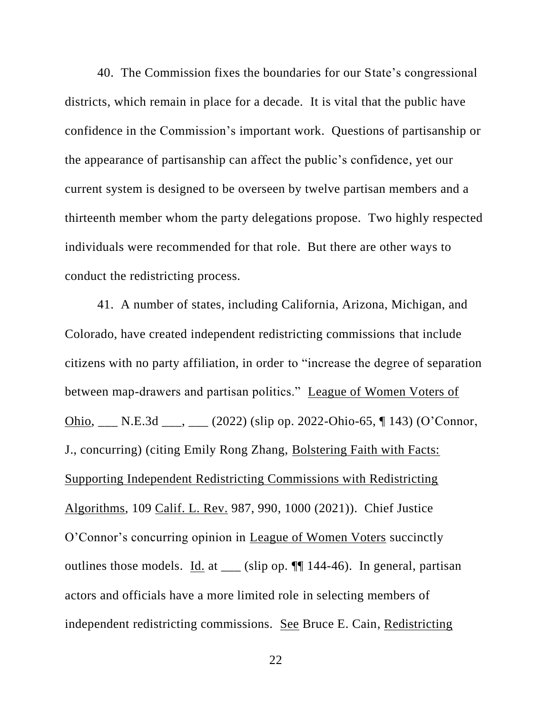40. The Commission fixes the boundaries for our State's congressional districts, which remain in place for a decade. It is vital that the public have confidence in the Commission's important work. Questions of partisanship or the appearance of partisanship can affect the public's confidence, yet our current system is designed to be overseen by twelve partisan members and a thirteenth member whom the party delegations propose. Two highly respected individuals were recommended for that role. But there are other ways to conduct the redistricting process.

41. A number of states, including California, Arizona, Michigan, and Colorado, have created independent redistricting commissions that include citizens with no party affiliation, in order to "increase the degree of separation between map-drawers and partisan politics." League of Women Voters of Ohio, \_\_\_ N.E.3d \_\_\_, \_\_\_ (2022) (slip op. 2022-Ohio-65, ¶ 143) (O'Connor, J., concurring) (citing Emily Rong Zhang, Bolstering Faith with Facts: Supporting Independent Redistricting Commissions with Redistricting Algorithms, 109 Calif. L. Rev. 987, 990, 1000 (2021)). Chief Justice O'Connor's concurring opinion in League of Women Voters succinctly outlines those models. Id. at \_\_\_ (slip op. ¶¶ 144-46). In general, partisan actors and officials have a more limited role in selecting members of independent redistricting commissions. See Bruce E. Cain, Redistricting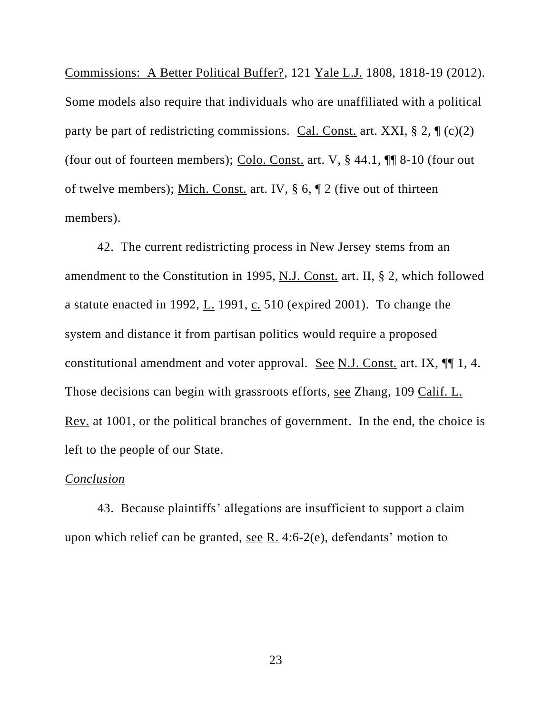Commissions: A Better Political Buffer?, 121 Yale L.J. 1808, 1818-19 (2012). Some models also require that individuals who are unaffiliated with a political party be part of redistricting commissions. Cal. Const. art. XXI,  $\S 2$ ,  $\P (c)(2)$ (four out of fourteen members); Colo. Const. art. V, § 44.1, ¶¶ 8-10 (four out of twelve members); Mich. Const. art. IV, § 6, ¶ 2 (five out of thirteen members).

 42. The current redistricting process in New Jersey stems from an amendment to the Constitution in 1995, N.J. Const. art. II, § 2, which followed a statute enacted in 1992, L. 1991, c. 510 (expired 2001). To change the system and distance it from partisan politics would require a proposed constitutional amendment and voter approval. See N.J. Const. art. IX, ¶¶ 1, 4. Those decisions can begin with grassroots efforts, see Zhang, 109 Calif. L. Rev. at 1001, or the political branches of government. In the end, the choice is left to the people of our State.

#### *Conclusion*

43. Because plaintiffs' allegations are insufficient to support a claim upon which relief can be granted, see R. 4:6-2(e), defendants' motion to